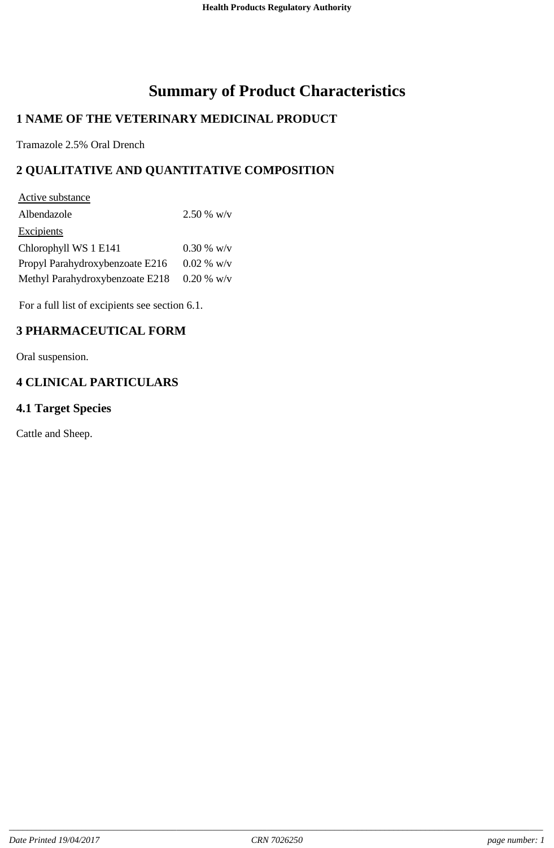# **Summary of Product Characteristics**

# **1 NAME OF THE VETERINARY MEDICINAL PRODUCT**

Tramazole 2.5% Oral Drench

# **2 QUALITATIVE AND QUANTITATIVE COMPOSITION**

| $2.50\%$ w/v |
|--------------|
|              |
| $0.30\%$ w/v |
| $0.02 %$ w/v |
| $0.20 %$ w/v |
|              |

For a full list of excipients see section 6.1.

# **3 PHARMACEUTICAL FORM**

Oral suspension.

# **4 CLINICAL PARTICULARS**

# **4.1 Target Species**

Cattle and Sheep.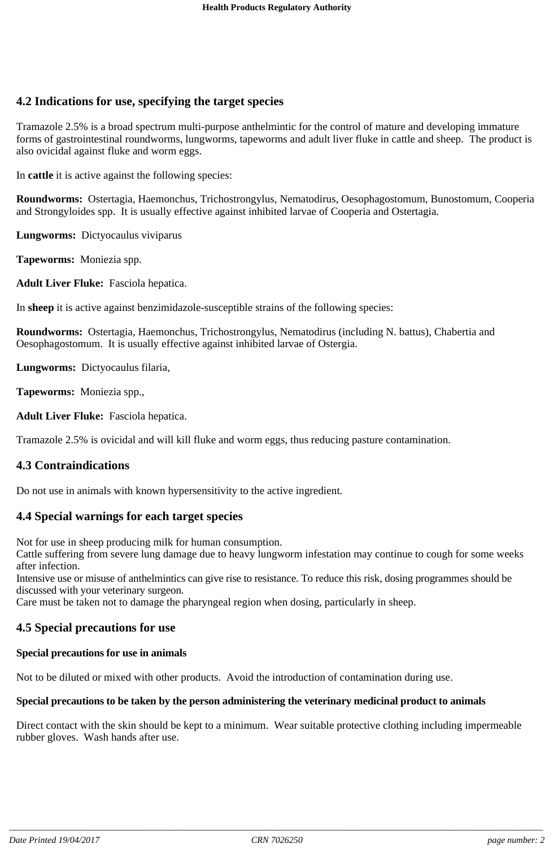# **4.2 Indications for use, specifying the target species**

Tramazole 2.5% is a broad spectrum multi-purpose anthelmintic for the control of mature and developing immature forms of gastrointestinal roundworms, lungworms, tapeworms and adult liver fluke in cattle and sheep. The product is also ovicidal against fluke and worm eggs.

In **cattle** it is active against the following species:

**Roundworms:** Ostertagia, Haemonchus, Trichostrongylus, Nematodirus, Oesophagostomum, Bunostomum, Cooperia and Strongyloides spp. It is usually effective against inhibited larvae of Cooperia and Ostertagia.

**Lungworms:** Dictyocaulus viviparus

**Tapeworms:** Moniezia spp.

**Adult Liver Fluke:** Fasciola hepatica.

In **sheep** it is active against benzimidazole-susceptible strains of the following species:

**Roundworms:** Ostertagia, Haemonchus, Trichostrongylus, Nematodirus (including N. battus), Chabertia and Oesophagostomum. It is usually effective against inhibited larvae of Ostergia.

**Lungworms:** Dictyocaulus filaria,

**Tapeworms:** Moniezia spp.,

**Adult Liver Fluke:** Fasciola hepatica.

Tramazole 2.5% is ovicidal and will kill fluke and worm eggs, thus reducing pasture contamination.

#### **4.3 Contraindications**

Do not use in animals with known hypersensitivity to the active ingredient.

#### **4.4 Special warnings for each target species**

Not for use in sheep producing milk for human consumption.

Cattle suffering from severe lung damage due to heavy lungworm infestation may continue to cough for some weeks after infection.

Intensive use or misuse of anthelmintics can give rise to resistance. To reduce this risk, dosing programmes should be discussed with your veterinary surgeon.

Care must be taken not to damage the pharyngeal region when dosing, particularly in sheep.

#### **4.5 Special precautions for use**

#### **Special precautions for use in animals**

Not to be diluted or mixed with other products. Avoid the introduction of contamination during use.

#### **Special precautions to be taken by the person administering the veterinary medicinal product to animals**

Direct contact with the skin should be kept to a minimum. Wear suitable protective clothing including impermeable rubber gloves. Wash hands after use.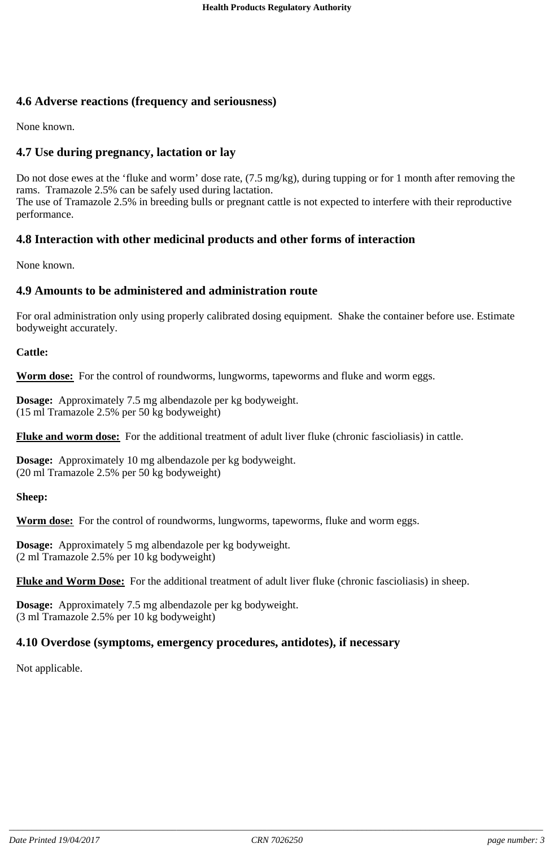# **4.6 Adverse reactions (frequency and seriousness)**

None known.

# **4.7 Use during pregnancy, lactation or lay**

Do not dose ewes at the 'fluke and worm' dose rate, (7.5 mg/kg), during tupping or for 1 month after removing the rams. Tramazole 2.5% can be safely used during lactation. The use of Tramazole 2.5% in breeding bulls or pregnant cattle is not expected to interfere with their reproductive performance.

### **4.8 Interaction with other medicinal products and other forms of interaction**

None known.

#### **4.9 Amounts to be administered and administration route**

For oral administration only using properly calibrated dosing equipment. Shake the container before use. Estimate bodyweight accurately.

#### **Cattle:**

**Worm dose:** For the control of roundworms, lungworms, tapeworms and fluke and worm eggs.

**Dosage:** Approximately 7.5 mg albendazole per kg bodyweight. (15 ml Tramazole 2.5% per 50 kg bodyweight)

**Fluke and worm dose:** For the additional treatment of adult liver fluke (chronic fascioliasis) in cattle.

**Dosage:** Approximately 10 mg albendazole per kg bodyweight. (20 ml Tramazole 2.5% per 50 kg bodyweight)

#### **Sheep:**

**Worm dose:** For the control of roundworms, lungworms, tapeworms, fluke and worm eggs.

**Dosage:** Approximately 5 mg albendazole per kg bodyweight. (2 ml Tramazole 2.5% per 10 kg bodyweight)

**Fluke and Worm Dose:** For the additional treatment of adult liver fluke (chronic fascioliasis) in sheep.

**Dosage:** Approximately 7.5 mg albendazole per kg bodyweight. (3 ml Tramazole 2.5% per 10 kg bodyweight)

#### **4.10 Overdose (symptoms, emergency procedures, antidotes), if necessary**

Not applicable.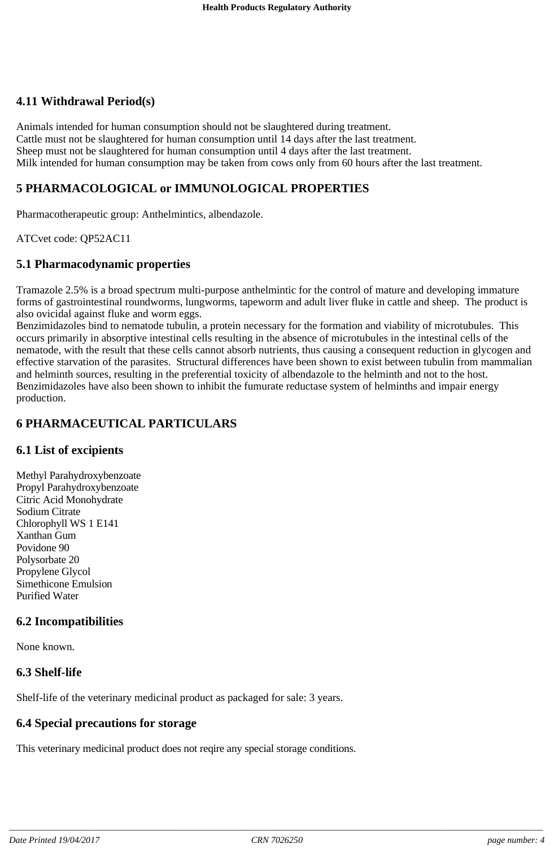# **4.11 Withdrawal Period(s)**

Animals intended for human consumption should not be slaughtered during treatment. Cattle must not be slaughtered for human consumption until 14 days after the last treatment. Sheep must not be slaughtered for human consumption until 4 days after the last treatment. Milk intended for human consumption may be taken from cows only from 60 hours after the last treatment.

# **5 PHARMACOLOGICAL or IMMUNOLOGICAL PROPERTIES**

Pharmacotherapeutic group: Anthelmintics, albendazole.

ATCvet code: QP52AC11

### **5.1 Pharmacodynamic properties**

Tramazole 2.5% is a broad spectrum multi-purpose anthelmintic for the control of mature and developing immature forms of gastrointestinal roundworms, lungworms, tapeworm and adult liver fluke in cattle and sheep. The product is also ovicidal against fluke and worm eggs.

Benzimidazoles bind to nematode tubulin, a protein necessary for the formation and viability of microtubules. This occurs primarily in absorptive intestinal cells resulting in the absence of microtubules in the intestinal cells of the nematode, with the result that these cells cannot absorb nutrients, thus causing a consequent reduction in glycogen and effective starvation of the parasites. Structural differences have been shown to exist between tubulin from mammalian and helminth sources, resulting in the preferential toxicity of albendazole to the helminth and not to the host. Benzimidazoles have also been shown to inhibit the fumurate reductase system of helminths and impair energy production.

# **6 PHARMACEUTICAL PARTICULARS**

# **6.1 List of excipients**

Methyl Parahydroxybenzoate Propyl Parahydroxybenzoate Citric Acid Monohydrate Sodium Citrate Chlorophyll WS 1 E141 Xanthan Gum Povidone 90 Polysorbate 20 Propylene Glycol Simethicone Emulsion Purified Water

# **6.2 Incompatibilities**

None known.

# **6.3 Shelf-life**

Shelf-life of the veterinary medicinal product as packaged for sale: 3 years.

# **6.4 Special precautions for storage**

This veterinary medicinal product does not reqire any special storage conditions.